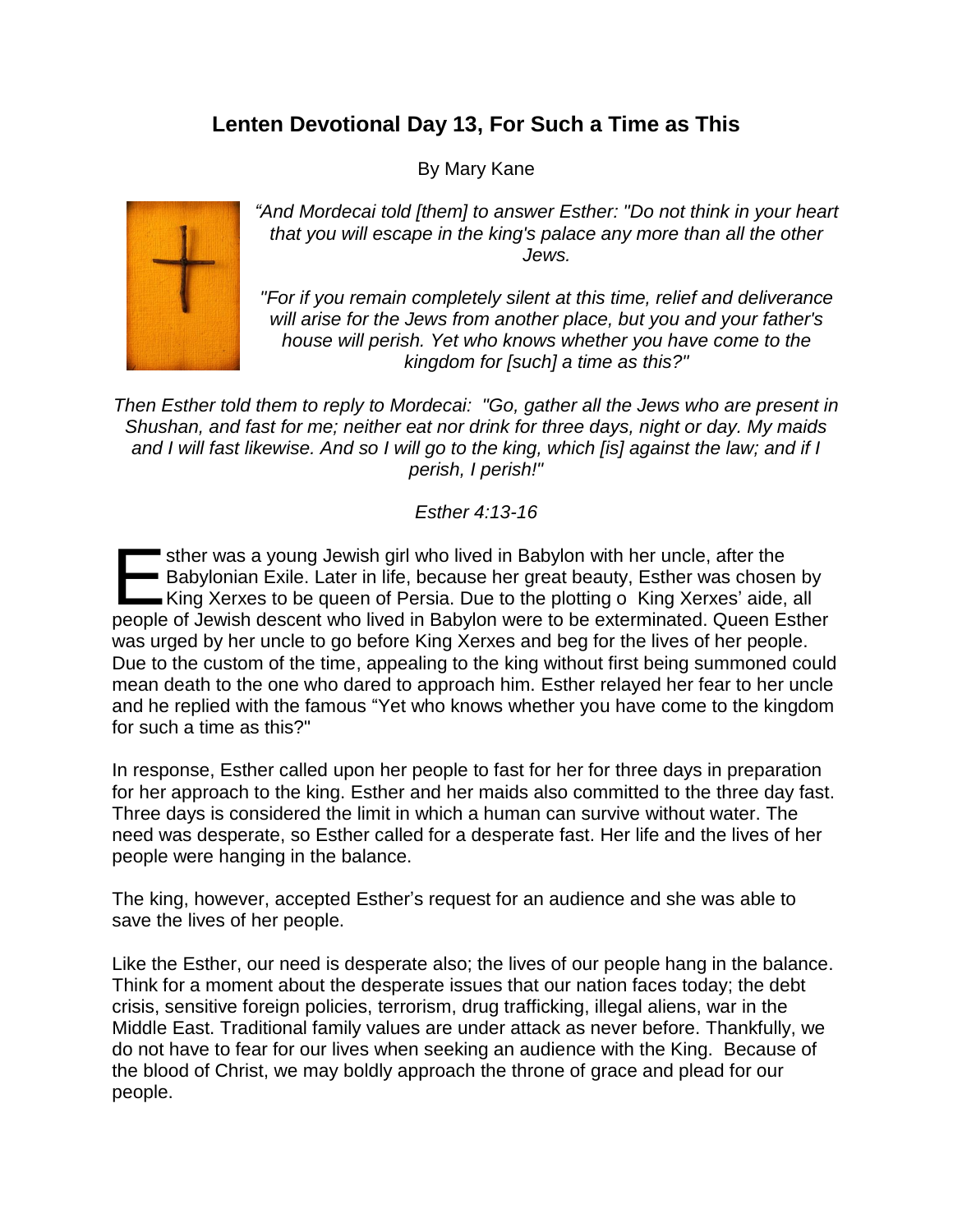## **Lenten Devotional Day 13, For Such a Time as This**

By Mary Kane



*"And Mordecai told [them] to answer Esther: "Do not think in your heart that you will escape in the king's palace any more than all the other Jews.*

*"For if you remain completely silent at this time, relief and deliverance will arise for the Jews from another place, but you and your father's house will perish. Yet who knows whether you have come to the kingdom for [such] a time as this?"*

*Then Esther told them to reply to Mordecai: "Go, gather all the Jews who are present in Shushan, and fast for me; neither eat nor drink for three days, night or day. My maids and I will fast likewise. And so I will go to the king, which [is] against the law; and if I perish, I perish!"*

*Esther 4:13-16*

sther was a young Jewish girl who lived in Babylon with her uncle, after the Babylonian Exile. Later in life, because her great beauty, Esther was chosen by sther was a young Jewish girl who lived in Babylon with her uncle, after the<br>
Babylonian Exile. Later in life, because her great beauty, Esther was chosen by<br>
King Xerxes to be queen of Persia. Due to the plotting o King X people of Jewish descent who lived in Babylon were to be exterminated. Queen Esther was urged by her uncle to go before King Xerxes and beg for the lives of her people. Due to the custom of the time, appealing to the king without first being summoned could mean death to the one who dared to approach him. Esther relayed her fear to her uncle and he replied with the famous "Yet who knows whether you have come to the kingdom for such a time as this?"

In response, Esther called upon her people to fast for her for three days in preparation for her approach to the king. Esther and her maids also committed to the three day fast. Three days is considered the limit in which a human can survive without water. The need was desperate, so Esther called for a desperate fast. Her life and the lives of her people were hanging in the balance.

The king, however, accepted Esther's request for an audience and she was able to save the lives of her people.

Like the Esther, our need is desperate also; the lives of our people hang in the balance. Think for a moment about the desperate issues that our nation faces today; the debt crisis, sensitive foreign policies, terrorism, drug trafficking, illegal aliens, war in the Middle East. Traditional family values are under attack as never before. Thankfully, we do not have to fear for our lives when seeking an audience with the King. Because of the blood of Christ, we may boldly approach the throne of grace and plead for our people.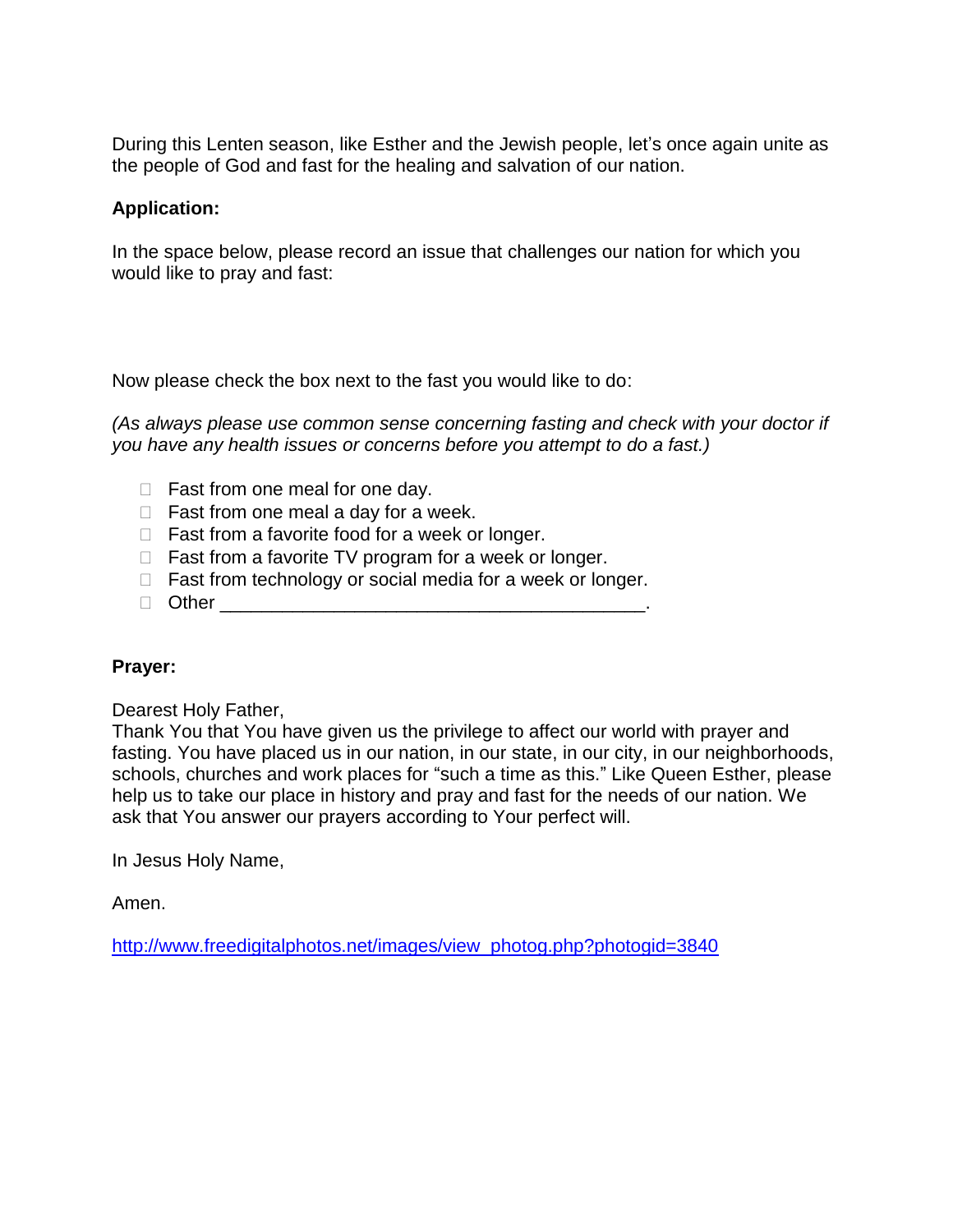During this Lenten season, like Esther and the Jewish people, let's once again unite as the people of God and fast for the healing and salvation of our nation.

## **Application:**

In the space below, please record an issue that challenges our nation for which you would like to pray and fast:

Now please check the box next to the fast you would like to do:

*(As always please use common sense concerning fasting and check with your doctor if you have any health issues or concerns before you attempt to do a fast.)*

- $\Box$  Fast from one meal for one day.
- $\Box$  Fast from one meal a day for a week.
- $\Box$  Fast from a favorite food for a week or longer.
- $\Box$  Fast from a favorite TV program for a week or longer.
- $\Box$  Fast from technology or social media for a week or longer.
- Other \_\_\_\_\_\_\_\_\_\_\_\_\_\_\_\_\_\_\_\_\_\_\_\_\_\_\_\_\_\_\_\_\_\_\_\_\_\_\_\_\_.

## **Prayer:**

Dearest Holy Father,

Thank You that You have given us the privilege to affect our world with prayer and fasting. You have placed us in our nation, in our state, in our city, in our neighborhoods, schools, churches and work places for "such a time as this." Like Queen Esther, please help us to take our place in history and pray and fast for the needs of our nation. We ask that You answer our prayers according to Your perfect will.

In Jesus Holy Name,

Amen.

[http://www.freedigitalphotos.net/images/view\\_photog.php?photogid=3840](http://www.freedigitalphotos.net/images/view_photog.php?photogid=3840)